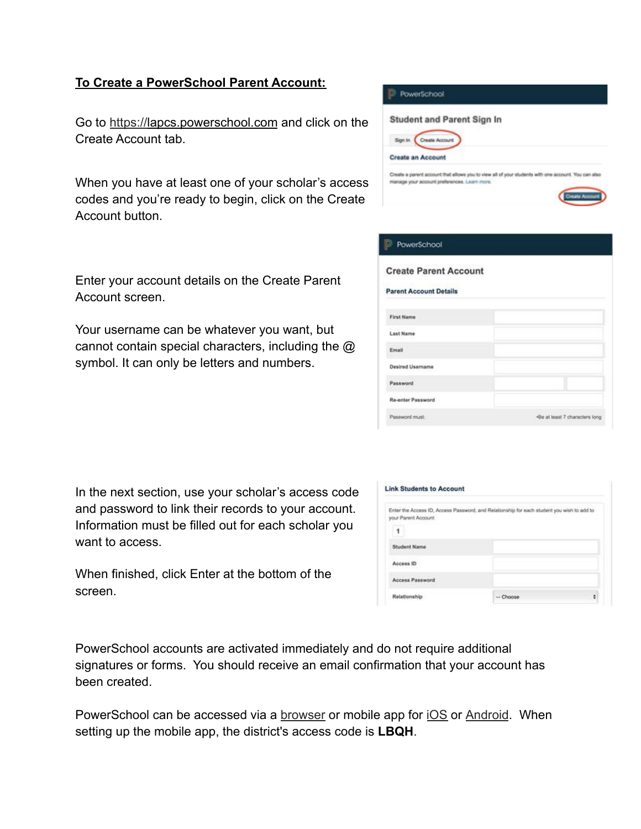## **To Create a PowerSchool Parent Account:**

Go to [https://l](https://powerschool.hempfieldsd.org/)apcs.powerschool.com and click on the Create Account tab.

When you have at least one of your scholar's access codes and you're ready to begin, click on the Create Account button.

Enter your account details on the Create Parent Account screen.

Your username can be whatever you want, but cannot contain special characters, including the @ symbol. It can only be letters and numbers.

| In the next section, use your scholar's access code |
|-----------------------------------------------------|
| and password to link their records to your account. |
| Information must be filled out for each scholar you |
| want to access.                                     |

When finished, click Enter at the bottom of the screen.

|         | <b>PowerSchool</b>                                                                                                                                  |
|---------|-----------------------------------------------------------------------------------------------------------------------------------------------------|
|         | <b>Student and Parent Sign In</b>                                                                                                                   |
| Sign In | Create Account                                                                                                                                      |
|         | <b>Create an Account</b>                                                                                                                            |
|         | Create a parent account that allows you to view all of your students with one account. You can also<br>manage your account preferences. Learn more. |
|         | ate Accou                                                                                                                                           |

| PowerSchool                   |                                |
|-------------------------------|--------------------------------|
| <b>Create Parent Account</b>  |                                |
| <b>Parent Account Details</b> |                                |
| <b>First Name</b>             |                                |
| <b>Last Name</b>              |                                |
| Email                         |                                |
| Desired Username              |                                |
| Password                      |                                |
| <b>Re-enter Password</b>      |                                |
| Password must:                | «Be at least 7 characters long |

| your Parent Account<br>1 | Enter the Access ID, Access Password, and Relationship for each student you wish to add to |  |
|--------------------------|--------------------------------------------------------------------------------------------|--|
| Student Name             |                                                                                            |  |
| Access ID                |                                                                                            |  |
| <b>Access Password</b>   |                                                                                            |  |
|                          |                                                                                            |  |

PowerSchool accounts are activated immediately and do not require additional signatures or forms. You should receive an email confirmation that your account has been created.

PowerSchool can be accessed via a **[browser](https://powerschool.hempfieldsd.org/)** or mobile app for [iOS](https://apps.apple.com/us/app/powerschool-mobile/id973741088) or [Android](https://play.google.com/store/apps/details?id=com.powerschool.portal&hl=en_US). When setting up the mobile app, the district's access code is **LBQH**.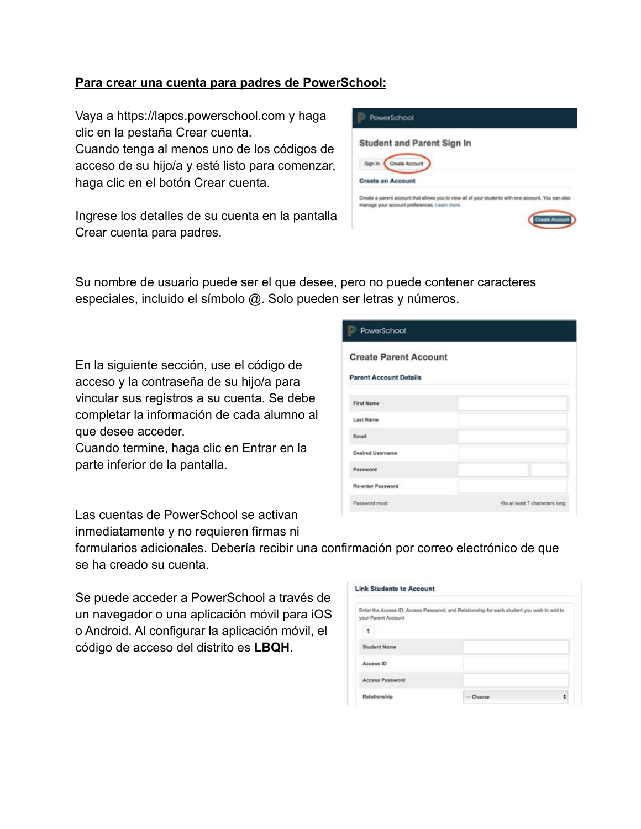## **Para crear una cuenta para padres de PowerSchool:**

Vaya a https://lapcs.powerschool.com y haga clic en la pestaña Crear cuenta.

Cuando tenga al menos uno de los códigos de acceso de su hijo/a y esté listo para comenzar, haga clic en el botón Crear cuenta.

Ingrese los detalles de su cuenta en la pantalla Crear cuenta para padres.

| <b>PowerSchool</b>                                                                                                                                  |  |
|-----------------------------------------------------------------------------------------------------------------------------------------------------|--|
| <b>Student and Parent Sign In</b>                                                                                                                   |  |
| Sign In<br>Create Account<br><b>Create an Account</b>                                                                                               |  |
| Create a parent account that allows you to view all of your students with one account. You can also<br>manage your account preferences. Learn more. |  |
| Accou                                                                                                                                               |  |

Su nombre de usuario puede ser el que desee, pero no puede contener caracteres especiales, incluido el símbolo @. Solo pueden ser letras y números.

En la siguiente sección, use el código de acceso y la contraseña de su hijo/a para vincular sus registros a su cuenta. Se debe completar la información de cada alumno al que desee acceder.

Cuando termine, haga clic en Entrar en la parte inferior de la pantalla.

Las cuentas de PowerSchool se activan inmediatamente y no requieren firmas ni PowerSchool **Create Parent Account Parent Account Details First Name Last Name** Email Desired Username Password Re-enter Password Password must: -Be at least 7 characters long

formularios adicionales. Debería recibir una confirmación por correo electrónico de que se ha creado su cuenta.

Se puede acceder a PowerSchool a través de un navegador o una aplicación móvil para iOS o Android. Al configurar la aplicación móvil, el código de acceso del distrito es **LBQH**.

| your Parent Account.                      | Enter the Access ID, Access Password, and Relationship for each student you wish to add to |  |
|-------------------------------------------|--------------------------------------------------------------------------------------------|--|
| 1                                         |                                                                                            |  |
| <b>Student Name</b>                       |                                                                                            |  |
| Access ID                                 |                                                                                            |  |
| Abraham Antonio<br><b>Access Password</b> |                                                                                            |  |
| Relationship                              | $-$ Choose                                                                                 |  |